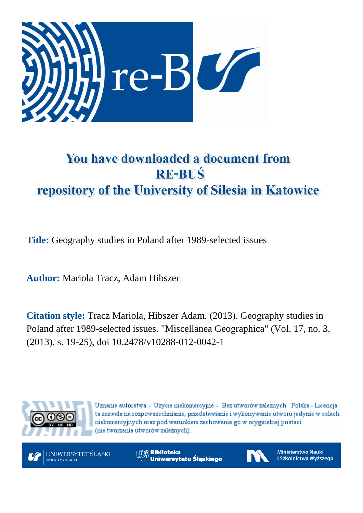

# You have downloaded a document from **RE-BUŚ** repository of the University of Silesia in Katowice

**Title:** Geography studies in Poland after 1989-selected issues

**Author:** Mariola Tracz, Adam Hibszer

**Citation style:** Tracz Mariola, Hibszer Adam. (2013). Geography studies in Poland after 1989-selected issues. ["Miscellanea Geographica"](https://www.scopus.com/sourceid/39895?origin=recordpage) (Vol. 17, no. 3, (2013), s. 19-25), doi 10.2478/v10288-012-0042-1



Uznanie autorstwa - Użycie niekomercyjne - Bez utworów zależnych Polska - Licencja ta zezwala na rozpowszechnianie, przedstawianie i wykonywanie utworu jedynie w celach niekomercyjnych oraz pod warunkiem zachowania go w oryginalnej postaci (nie tworzenia utworów zależnych).



**Biblioteka** Uniwersytetu Śląskiego



**Ministerstwo Nauki** i Szkolnictwa Wyższego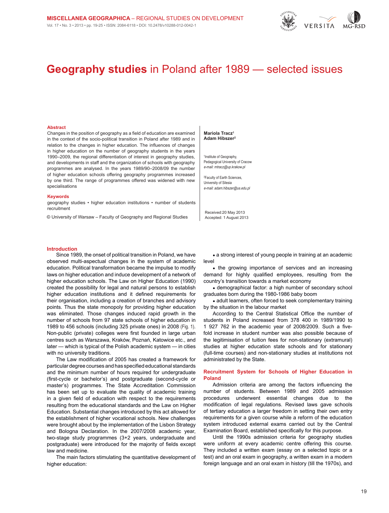

# **Geography studies** in Poland after 1989 — selected issues

#### **Abstract**

Changes in the position of geography as a field of education are examined in the context of the socio-political transition in Poland after 1989 and in relation to the changes in higher education. The influences of changes in higher education on the number of geography students in the years 1990–2009, the regional differentiation of interest in geography studies, and developments in staff and the organization of schools with geography programmes are analysed. In the years 1989/90–2008/09 the number of higher education schools offering geography programmes increased by one third. The range of programmes offered was widened with new specialisations

#### **Keywords**

geography studies • higher education institutions • number of students recruitment

© University of Warsaw – Faculty of Geography and Regional Studies

#### **Mariola Tracz1 Adam Hibszer2**

1 Institute of Geography, Pedagogical University of Cracow e-mail: mtracz@up.krakow.pl

2 Faculty of Earth Sciences, University of Silesia e-mail: adam.hibszer@us.edu.pl

Received:20 May 2013 Accepted: 1 August 2013

#### **Introduction**

Since 1989, the onset of political transition in Poland, we have observed multi-aspectual changes in the system of academic education. Political transformation became the impulse to modify laws on higher education and induce development of a network of higher education schools. The Law on Higher Education (1990) created the possibility for legal and natural persons to establish higher education institutions and it defined requirements for their organisation, including a creation of branches and advisory points. Thus the state monopoly for providing higher education was eliminated. Those changes induced rapid growth in the number of schools from 97 state schools of higher education in 1989 to 456 schools (including 325 private ones) in 2008 [\(Fig. 1\)](#page-2-0). Non-public (private) colleges were first founded in large urban centres such as Warszawa, Kraków, Poznań, Katowice etc., and later — which is typical of the Polish academic system — in cities with no university traditions.

The Law modification of 2005 has created a framework for particular degree courses and has specified educational standards and the minimum number of hours required for undergraduate (first-cycle or bachelor's) and postgraduate (second-cycle or master's) programmes. The State Accreditation Commission has been set up to evaluate the quality of academic training in a given field of education with respect to the requirements resulting from the educational standards and the Law on Higher Education. Substantial changes introduced by this act allowed for the establishment of higher vocational schools. New challenges were brought about by the implementation of the Lisbon Strategy and Bologna Declaration. In the 2007/2008 academic year, two-stage study programmes (3+2 years, undergraduate and postgraduate) were introduced for the majority of fields except law and medicine.

The main factors stimulating the quantitative development of higher education:

• a strong interest of young people in training at an academic level

• the growing importance of services and an increasing demand for highly qualified employees, resulting from the country's transition towards a market economy

• demographical factor: a high number of secondary school graduates born during the 1980-1986 baby boom

• adult learners, often forced to seek complementary training by the situation in the labour market

According to the Central Statistical Office the number of students in Poland increased from 378 400 in 1989/1990 to 1 927 762 in the academic year of 2008/2009. Such a fivefold increase in student number was also possible because of the legitimisation of tuition fees for non-stationary (extramural) studies at higher education state schools and for stationary (full-time courses) and non-stationary studies at institutions not administrated by the State.

# **Recruitment System for Schools of Higher Education in Poland**

Admission criteria are among the factors influencing the number of students. Between 1989 and 2005 admission procedures underwent essential changes due to the modification of legal regulations. Revised laws gave schools of tertiary education a larger freedom in setting their own entry requirements for a given course while a reform of the education system introduced external exams carried out by the Central Examination Board, established specifically for this purpose.

Until the 1990s admission criteria for geography studies were uniform at every academic centre offering this course. They included a written exam (essay on a selected topic or a test) and an oral exam in geography, a written exam in a modern foreign language and an oral exam in history (till the 1970s), and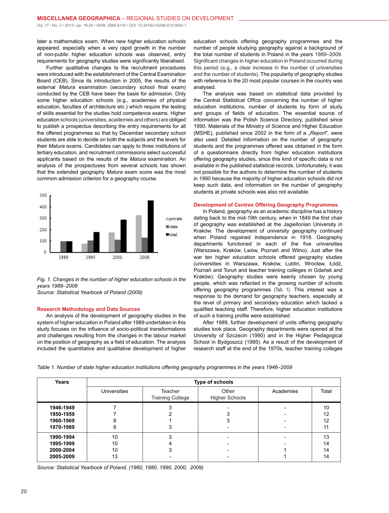later a mathematics exam. When new higher education schools appeared, especially when a very rapid growth in the number of non-public higher education schools was observed, entry requirements for geography studies were significantly liberalised.

Further qualitative changes to the recruitment procedures were introduced with the establishment of the Central Examination Board (CEB). Since its introduction in 2005, the results of the external *Matura* examination (secondary school final exam) conducted by the CEB have been the basis for admission. Only some higher education schools (e.g., academies of physical education, faculties of architecture etc.) which require the testing of skills essential for the studies hold competence exams. Higher education schools (universities, academies and others) are obliged to publish a prospectus describing the entry requirements for all the offered programmes so that by December secondary school students are able to decide on both the subjects and the levels for their *Matura* exams. Candidates can apply to three institutions of tertiary education, and recruitment commissions select successful applicants based on the results of the *Matura* examination. An analysis of the prospectuses from several schools has shown that the extended geography *Matura* exam score was the most common admission criterion for a geography course.

<span id="page-2-0"></span>

*Fig. 1. Changes in the number of higher education schools in the years 1989*–*2008*

*Source: Statistical Yearbook of Poland (2009)*

# **Research Methodology and Data Sources**

An analysis of the development of geography studies in the system of higher education in Poland after 1989 undertaken in this study focuses on the influence of socio-political transformations and challenges resulting from the changes in the labour market on the position of geography as a field of education. The analysis included the quantitative and qualitative development of higher education schools offering geography programmes and the number of people studying geography against a background of the total number of students in Poland in the years 1989–2009. Significant changes in higher education in Poland occurred during this period (e.g., a clear increase in the number of universities and the number of students). The popularity of geography studies with reference to the 20 most popular courses in the country was analysed.

The analysis was based on statistical data provided by the Central Statistical Office concerning the number of higher education institutions, number of students by form of study and groups of fields of education. The essential source of information was the Polish Science Directory, published since 1990. Materials of the Ministry of Science and Higher Education (MSHE), published since 2002 in the form of a "Report", were also used. Detailed information on the number of geography students and the programmes offered was obtained in the form of a questionnaire directly from higher education institutions offering geography studies, since this kind of specific data is not available in the published statistical records. Unfortunately, it was not possible for the authors to determine the number of students in 1990 because the majority of higher education schools did not keep such data, and information on the number of geography students at private schools was also not available.

#### **Development of Centres Offering Geography Programmes**

In Poland, geography as an academic discipline has a history dating back to the mid-19th century, when in 1849 the first chair of geography was established at the Jagiellonian University in Kraków. The development of university geography continued when Poland regained independence in 1918. Geography departments functioned in each of the five universities (Warszawa, Kraków, Lwów, Poznań and Wilno). Just after the war ten higher education schools offered geography studies (universities in Warszawa, Kraków, Lublin, Wrocław, Łódź, Poznań and Toruń and teacher training colleges in Gdańsk and Kraków). Geography studies were keenly chosen by young people, which was reflected in the growing number of schools offering geography programmes [\(Tab. 1\)](#page-2-1). This interest was a response to the demand for geography teachers, especially at the level of primary and secondary education which lacked a qualified teaching staff. Therefore, higher education institutions of such a training profile were established.

After 1989, further development of units offering geography studies took place. Geography departments were opened at the University of Szczecin (1990) and in the Higher Pedagogical School in Bydgoszcz (1995). As a result of the development of research staff at the end of the 1970s, teacher training colleges

<span id="page-2-1"></span>

| Years                                            | Type of schools      |                                    |                                |           |                      |  |  |  |  |  |
|--------------------------------------------------|----------------------|------------------------------------|--------------------------------|-----------|----------------------|--|--|--|--|--|
|                                                  | <b>Universities</b>  | Teacher<br><b>Training College</b> | Other<br><b>Higher Schools</b> | Academies | Total                |  |  |  |  |  |
| 1946-1949<br>1950-1959<br>1960-1969<br>1970-1989 | 8                    |                                    |                                |           | 10<br>12<br>12       |  |  |  |  |  |
| 1990-1994<br>1995-1999<br>2000-2004<br>2005-2009 | 10<br>10<br>10<br>13 |                                    |                                |           | 13<br>14<br>14<br>14 |  |  |  |  |  |

*Source: Statistical Yearbook of Poland, (1960, 1980, 1990, 2000, 2009)*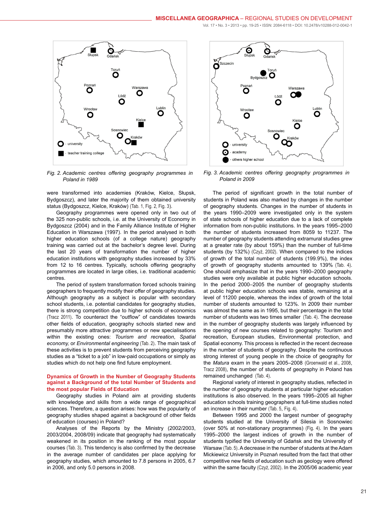<span id="page-3-0"></span>

*Fig. 2. Academic centres offering geography programmes in Poland in 1989*

were transformed into academies (Kraków, Kielce, Słupsk, Bydgoszcz), and later the majority of them obtained university status (Bydgoszcz, Kielce, Kraków) [\(Tab. 1](#page-2-1), [Fig. 2](#page-3-0), [Fig. 3](#page-3-1)).

Geography programmes were opened only in two out of the 325 non-public schools, i.e. at the University of Economy in Bydgoszcz (2004) and in the Family Alliance Institute of Higher Education in Warszawa (1997). In the period analysed in both higher education schools (of a college nature) geography training was carried out at the bachelor's degree level. During the last 20 years of transformation the number of higher education institutions with geography studies increased by 33% from 12 to 16 centres. Typically, schools offering geography programmes are located in large cities, i.e. traditional academic centres.

The period of system transformation forced schools training geographers to frequently modify their offer of geography studies. Although geography as a subject is popular with secondary school students, i.e. potential candidates for geography studies, there is strong competition due to higher schools of economics (Tracz 2011). To counteract the "outflow" of candidates towards other fields of education, geography schools started new and presumably more attractive programmes or new specialisations within the existing ones: *Tourism and recreation*, *Spatial economy,* or *Environmental engineering* [\(Tab. 2\)](#page-4-0). The main task of these activities is to prevent students from perceiving geography studies as a "ticket to a job" in low-paid occupations or simply as studies which do not help one find future employment.

### **Dynamics of Growth in the Number of Geography Students against a Background of the total Number of Students and the most popular Fields of Education**

Geography studies in Poland aim at providing students with knowledge and skills from a wide range of geographical sciences. Therefore, a question arises: how was the popularity of geography studies shaped against a background of other fields of education (courses) in Poland?

Analyses of the Reports by the Ministry (2002/2003, 2003/2004, 2008/09) indicate that geography had systematically weakened in its position in the ranking of the most popular courses [\(Tab. 3\)](#page-5-0). This tendency is also confirmed by the decrease in the average number of candidates per place applying for geography studies, which amounted to 7.8 persons in 2005, 6.7 in 2006, and only 5.0 persons in 2008.

<span id="page-3-1"></span>

*Fig. 3. Academic centres offering geography programmes in Poland in 2009*

The period of significant growth in the total number of students in Poland was also marked by changes in the number of geography students. Changes in the number of students in the years 1990–2009 were investigated only in the system of state schools of higher education due to a lack of complete information from non-public institutions. In the years 1995–2000 the number of students increased from 8059 to 11237. The number of geography students attending extramural studies grew at a greater rate (by about 159%) than the number of full-time students (by 132%) (Czyż, 2002). When compared to the indices of growth of the total number of students (199.9%), the index of growth of geography students amounted to 139% [\(Tab. 4\)](#page-5-1). One should emphasize that in the years 1990–2000 geography studies were only available at public higher education schools. In the period 2000–2005 the number of geography students at public higher education schools was stable, remaining at a level of 11200 people, whereas the index of growth of the total number of students amounted to 123%. In 2009 their number was almost the same as in 1995, but their percentage in the total number of students was two times smaller [\(Tab. 4\)](#page-5-1). The decrease in the number of geography students was largely influenced by the opening of new courses related to geography: Tourism and recreation, European studies, Environmental protection, and Spatial economy. This process is reflected in the recent decrease in the number of students of geography. Despite the continuous strong interest of young people in the choice of geography for the *Matura* exam in the years 2005–2008 (Groenwald et al., 2008, Tracz 2008), the number of students of geography in Poland has remained unchanged [\(Tab. 4\)](#page-5-1).

Regional variety of interest in geography studies, reflected in the number of geography students at particular higher education institutions is also observed. In the years 1995–2005 all higher education schools training geographers at full-time studies noted an increase in their number [\(Tab. 5](#page-6-0), [Fig. 4\)](#page-6-1).

Between 1995 and 2000 the largest number of geography students studied at the University of Silesia in Sosnowiec (over 50% at non-stationary programmes) [\(Fig. 4\)](#page-6-1). In the years 1995–2000 the largest indices of growth in the number of students typified the University of Gdańsk and the University of Warsaw [\(Tab. 5\)](#page-6-0). A decrease in the number of students at the Adam Mickiewicz University in Poznań resulted from the fact that other competitive new fields of education such as geology were offered within the same faculty (Czyż, 2002). In the 2005/06 academic year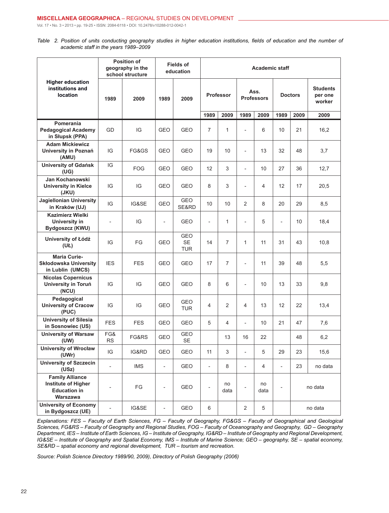<span id="page-4-0"></span>*Table 2. Position of units conducting geography studies in higher education institutions, fields of education and the number of academic staff in the years 1989*–*2009*

|                                                                                  |                          | <b>Position of</b><br>geography in the<br>school structure |                          | <b>Fields of</b><br>education  | <b>Academic staff</b>    |                |                           |                |                          |         |                                      |
|----------------------------------------------------------------------------------|--------------------------|------------------------------------------------------------|--------------------------|--------------------------------|--------------------------|----------------|---------------------------|----------------|--------------------------|---------|--------------------------------------|
| <b>Higher education</b><br>institutions and<br>location                          | 1989                     | 2009                                                       | 1989                     | 2009                           | <b>Professor</b>         |                | Ass.<br><b>Professors</b> |                | <b>Doctors</b>           |         | <b>Students</b><br>per one<br>worker |
|                                                                                  |                          |                                                            |                          |                                | 1989                     | 2009           | 1989                      | 2009           | 1989                     | 2009    | 2009                                 |
| Pomerania<br><b>Pedagogical Academy</b><br>in Słupsk (PPA)                       | GD                       | IG                                                         | <b>GEO</b>               | <b>GEO</b>                     | $\overline{7}$           | $\mathbf{1}$   |                           | 6              | 10                       | 21      | 16,2                                 |
| <b>Adam Mickiewicz</b><br>University in Poznań<br>(AMU)                          | IG                       | FG&GS                                                      | <b>GEO</b>               | GEO                            | 19                       | 10             | $\overline{a}$            | 13             | 32                       | 48      | 3,7                                  |
| <b>University of Gdańsk</b><br>(UG)                                              | IG                       | <b>FOG</b>                                                 | <b>GEO</b>               | GEO                            | 12                       | 3              | $\overline{\phantom{0}}$  | 10             | 27                       | 36      | 12,7                                 |
| Jan Kochanowski<br><b>University in Kielce</b><br>(JKU)                          | IG                       | IG                                                         | <b>GEO</b>               | GEO                            | 8                        | 3              | $\overline{a}$            | 4              | 12                       | 17      | 20,5                                 |
| Jagiellonian University<br>in Kraków (UJ)                                        | IG                       | IG&SE                                                      | <b>GEO</b>               | GEO<br>SE&RD                   | 10                       | 10             | 2                         | 8              | 20                       | 29      | 8,5                                  |
| Kazimierz Wielki<br><b>University in</b><br>Bydgoszcz (KWU)                      | $\qquad \qquad -$        | IG                                                         | $\overline{a}$           | GEO                            | $\overline{\phantom{a}}$ | $\mathbf{1}$   | $\overline{a}$            | 5              | $\qquad \qquad -$        | 10      | 18,4                                 |
| University of Łódź<br>(UŁ)                                                       | IG                       | FG                                                         | <b>GEO</b>               | GEO<br><b>SE</b><br><b>TUR</b> | 14                       | $\overline{7}$ | $\mathbf{1}$              | 11             | 31                       | 43      | 10,8                                 |
| <b>Maria Curie-</b><br><b>Skłodowska University</b><br>in Lublin (UMCS)          | <b>IES</b>               | FES                                                        | <b>GEO</b>               | GEO                            | 17                       | $\overline{7}$ | $\overline{\phantom{0}}$  | 11             | 39                       | 48      | 5,5                                  |
| <b>Nicolas Copernicus</b><br>University in Toruń<br>(NCU)                        | IG                       | IG                                                         | GEO                      | GEO                            | 8                        | 6              | $\overline{a}$            | 10             | 13                       | 33      | 9,8                                  |
| Pedagogical<br><b>University of Cracow</b><br>(PUC)                              | IG                       | IG                                                         | GEO                      | GEO<br><b>TUR</b>              | 4                        | $\overline{2}$ | $\overline{4}$            | 13             | 12                       | 22      | 13,4                                 |
| <b>University of Silesia</b><br>in Sosnowiec (US)                                | <b>FES</b>               | <b>FES</b>                                                 | GEO                      | GEO                            | 5                        | $\overline{4}$ | $\overline{\phantom{0}}$  | 10             | 21                       | 47      | 7,6                                  |
| <b>University of Warsaw</b><br>(UW)                                              | FG&<br><b>RS</b>         | FG&RS                                                      | <b>GEO</b>               | GEO<br><b>SE</b>               |                          | 13             | 16                        | 22             |                          | 48      | 6,2                                  |
| <b>University of Wrocław</b><br>(UWr)                                            | IG                       | IG&RD                                                      | GEO                      | GEO                            | 11                       | 3              | $\overline{\phantom{0}}$  | 5              | 29                       | 23      | 15,6                                 |
| University of Szczecin<br>(USz)                                                  | $\overline{\phantom{m}}$ | <b>IMS</b>                                                 | $\overline{\phantom{a}}$ | GEO                            | $\overline{\phantom{a}}$ | 8              | $\overline{\phantom{0}}$  | $\overline{4}$ | $\overline{\phantom{a}}$ | 23      | no data                              |
| <b>Family Alliance</b><br>Institute of Higher<br><b>Education in</b><br>Warszawa | $\overline{\phantom{0}}$ | FG                                                         | $\overline{\phantom{0}}$ | GEO                            | $\overline{\phantom{a}}$ | no<br>data     | $\overline{a}$            | no<br>data     | $\overline{\phantom{m}}$ | no data |                                      |
| <b>University of Economy</b><br>in Bydgoszcz (UE)                                | $\overline{\phantom{0}}$ | IG&SE                                                      | $\overline{\phantom{a}}$ | GEO                            | 6                        |                | $\overline{2}$            | 5              |                          |         | no data                              |

*Explanations: FES – Faculty of Earth Sciences, FG – Faculty of Geography, FG&GS – Faculty of Geographical and Geological Sciences, FG&RS – Faculty of Geography and Regional Studies, FOG – Faculty of Oceanography and Geography, GD – Geography Department, IES – Institute of Earth Sciences, IG – Institute of Geography, IG&RD – Institute of Geography and Regional Development, IG&SE – Institute of Geography and Spatial Economy, IMS – Institute of Marine Science; GEO – geography, SE – spatial economy, SE&RD – spatial economy and regional development, TUR – tourism and recreation.*

*Source: Polish Science Directory 1989/90, 2009), Directory of Polish Geography (2006)*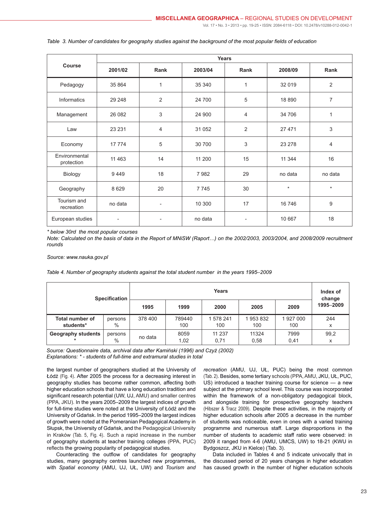|                             | <b>Years</b>             |                              |         |                          |         |                |  |  |  |  |  |
|-----------------------------|--------------------------|------------------------------|---------|--------------------------|---------|----------------|--|--|--|--|--|
| Course                      | 2001/02                  | Rank                         | 2003/04 | Rank                     | 2008/09 | Rank           |  |  |  |  |  |
| Pedagogy                    | 35 864                   | 1                            | 35 340  | $\mathbf{1}$             | 32 019  | $\overline{2}$ |  |  |  |  |  |
| Informatics                 | 29 24 8                  | $\overline{2}$               | 24 700  | 5                        | 18 890  | 7              |  |  |  |  |  |
| Management                  | 26 082                   | 3                            | 24 900  | $\overline{4}$           | 34 706  | $\mathbf{1}$   |  |  |  |  |  |
| Law                         | 23 231                   | $\overline{4}$               | 31 052  | 2                        | 27 471  | 3              |  |  |  |  |  |
| Economy                     | 17 774                   | 5                            | 30 700  | 3                        | 23 278  | 4              |  |  |  |  |  |
| Environmental<br>protection | 11 4 63                  | 14                           | 11 200  | 15                       | 11 344  | 16             |  |  |  |  |  |
| Biology                     | 9449                     | 18                           | 7982    | 29                       | no data | no data        |  |  |  |  |  |
| Geography                   | 8 6 2 9                  | 20                           | 7745    | 30                       | $\star$ | $\star$        |  |  |  |  |  |
| Tourism and<br>recreation   | no data                  | $\qquad \qquad \blacksquare$ | 10 300  | 17                       | 16 746  | 9              |  |  |  |  |  |
| European studies            | $\overline{\phantom{0}}$ | $\overline{\phantom{a}}$     | no data | $\overline{\phantom{a}}$ | 10 667  | 18             |  |  |  |  |  |

<span id="page-5-0"></span>*Table 3. Number of candidates for geography studies against the background of the most popular fields of education*

*\* below 30rd the most popular courses*

*Note: Calculated on the basis of data in the Report of MNiSW (Raport…) on the 2002/2003, 2003/2004, and 2008/2009 recruitment rounds*

*Source: www.nauka.gov.pl*

<span id="page-5-1"></span>*Table 4. Number of geography students against the total student number in the years 1995*–*2009*

| <b>Specification</b>                |                 |         | Index of<br>change |                  |                |                |           |
|-------------------------------------|-----------------|---------|--------------------|------------------|----------------|----------------|-----------|
|                                     |                 | 1995    | 1999               | 2000             | 2005           | 2009           | 1995-2009 |
| <b>Total number of</b><br>students* | persons<br>$\%$ | 378 400 | 789440<br>100      | 1 578 241<br>100 | 953 832<br>100 | 1927000<br>100 | 244<br>x  |
| <b>Geography students</b>           | persons<br>$\%$ | no data | 8059<br>1,02       | 11 237<br>0,71   | 11324<br>0,58  | 7999<br>0,41   | 99,2<br>x |

*Source: Questionnaire data, archival data after Kamiński (1996) and Czyż (2002) Explanations: \* - students of full-time and extramural studies in total*

the largest number of geographers studied at the University of Łódź [\(Fig. 4\)](#page-6-1). After 2005 the process for a decreasing interest in geography studies has become rather common, affecting both higher education schools that have a long education tradition and significant research potential (UW, UJ, AMU) and smaller centres (PPA, JKU). In the years 2005–2009 the largest indices of growth for full-time studies were noted at the University of Łódź and the University of Gdańsk. In the period 1995–2009 the largest indices of growth were noted at the Pomeranian Pedagogical Academy in Słupsk, the University of Gdańsk, and the Pedagogical University in Kraków [\(Tab. 5](#page-6-0), [Fig. 4\)](#page-6-1). Such a rapid increase in the number of geography students at teacher training colleges (PPA, PUC) reflects the growing popularity of pedagogical studies.

Counteracting the outflow of candidates for geography studies, many geography centres launched new programmes, with *Spatial economy* (AMU, UJ, UŁ, UW) and *Tourism and*  *recreation* (AMU, UJ, UŁ, PUC) being the most common ([Tab. 2](#page-4-0)). Besides, some tertiary schools (PPA, AMU, JKU, UŁ, PUC, US) introduced a teacher training course for science — a new subject at the primary school level. This course was incorporated within the framework of a non-obligatory pedagogical block, and alongside training for prospective geography teachers (Hibszer & Tracz 2009). Despite these activities, in the majority of higher education schools after 2005 a decrease in the number of students was noticeable, even in ones with a varied training programme and numerous staff. Large disproportions in the number of students to academic staff ratio were observed: in 2009 it ranged from 4-6 (AMU, UMCS, UW) to 18-21 (KWU in Bydgoszcz, JKU in Kielce) (Tab. 3).

Data included in Tables 4 and 5 indicate univocally that in the discussed period of 20 years changes in higher education has caused growth in the number of higher education schools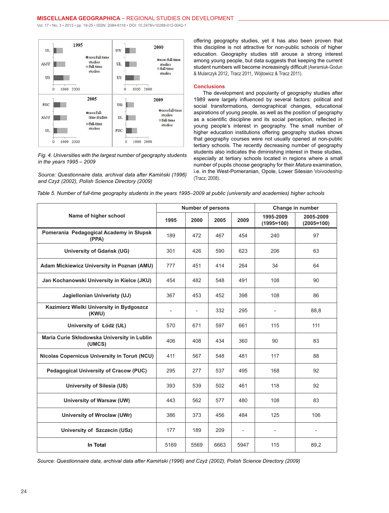<span id="page-6-1"></span>

*Fig. 4. Universities with the largest number of geography students in the years 1995 – 2009*

*Source: Questionnaire data, archival data after Kamiński (1996) and Czyż (2002), Polish Science Directory (2009)*

offering geography studies, yet it has also been proven that this discipline is not attractive for non-public schools of higher education. Geography studies still arouse a strong interest among young people, but data suggests that keeping the current student numbers will become increasingly difficult (Awramiuk-Godun & Mularczyk 2012, Tracz 2011, Wójtowicz & Tracz 2011).

# **Conclusions**

The development and popularity of geography studies after 1989 were largely influenced by several factors: political and social transformations, demographical changes, educational aspirations of young people, as well as the position of geography as a scientific discipline and its social perception, reflected in young people's interest in geography. The small number of higher education institutions offering geography studies shows that geography courses were not usually opened at non-public tertiary schools. The recently decreasing number of geography students also indicates the diminishing interest in these studies, especially at tertiary schools located in regions where a small number of pupils choose geography for their *Matura* examination, i.e. in the West-Pomeranian, Opole, Lower Silesian Voivodeship (Tracz, 2008).

<span id="page-6-0"></span>

|  |  |  |  | Table 5. Number of full-time geography students in the years 1995–2009 at public (university and academies) higher schools |  |  |  |
|--|--|--|--|----------------------------------------------------------------------------------------------------------------------------|--|--|--|
|--|--|--|--|----------------------------------------------------------------------------------------------------------------------------|--|--|--|

|                                                       |                          | <b>Number of persons</b> |      |                |                           | Change in number          |
|-------------------------------------------------------|--------------------------|--------------------------|------|----------------|---------------------------|---------------------------|
| Name of higher school                                 | 1995                     | 2000                     | 2005 | 2009           | 1995-2009<br>$(1995=100)$ | 2005-2009<br>$(2005=100)$ |
| Pomerania Pedagogical Academy in Słupsk<br>(PPA)      | 189                      | 472                      | 467  | 454            | 240                       | 97                        |
| University of Gdańsk (UG)                             | 301                      | 426                      | 590  | 623            | 206                       | 63                        |
| Adam Mickiewicz University in Poznan (AMU)            | 777                      | 451                      | 414  | 264            | 34                        | 64                        |
| Jan Kochanowski University in Kielce (JKU)            | 454                      | 482                      | 548  | 491            | 108                       | 90                        |
| Jagiellonian Univeristy (UJ)                          | 367                      | 453                      | 452  | 398            | 108                       | 86                        |
| Kazimierz Wielki University in Bydgoszcz<br>(KWU)     | $\overline{\phantom{a}}$ | $\overline{\phantom{a}}$ | 332  | 295            | $\overline{\phantom{a}}$  | 88,8                      |
| University of Łódź (UŁ)                               | 570                      | 671                      | 597  | 661            | 115                       | 111                       |
| Maria Curie Skłodowska University in Lublin<br>(UMCS) | 406                      | 408                      | 434  | 360            | 90                        | 83                        |
| Nicolas Copernicus University in Toruń (NCU)          | 411                      | 567                      | 548  | 481            | 117                       | 88                        |
| <b>Pedagogical University of Cracow (PUC)</b>         | 295                      | 277                      | 537  | 495            | 168                       | 92                        |
| <b>University of Silesia (US)</b>                     | 393                      | 539                      | 502  | 461            | 118                       | 92                        |
| University of Warsaw (UW)                             | 443                      | 562                      | 577  | 480            | 108                       | 83                        |
| University of Wrocław (UWr)                           | 386                      | 373                      | 456  | 484            | 125                       | 106                       |
| University of Szczecin (USz)                          | 177                      | 189                      | 209  | $\overline{a}$ | $\overline{a}$            | $\overline{\phantom{a}}$  |
| In Total                                              | 5169                     | 5569                     | 6663 | 5947           | 115                       | 89,2                      |

*Source: Questionnaire data, archival data after Kamiński (1996) and Czyż (2002), Polish Science Directory (2009)*